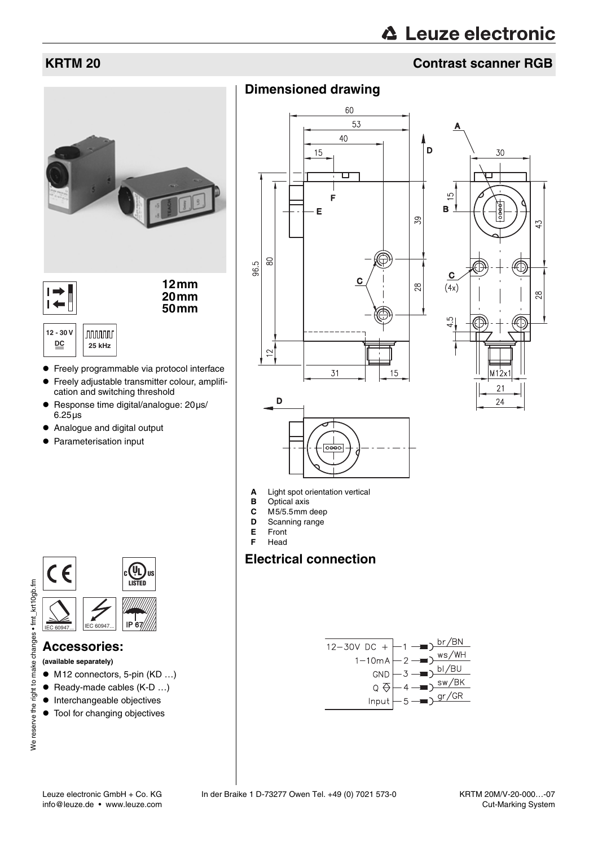# △ Leuze electronic

# **KRTM 20 Contrast scanner RGB**



- Response time digital/analogue: 20µs/ 6.25µs
- Analogue and digital output
- Parameterisation input



#### **Accessories:**

**(available separately)**

- $\bullet$  M12 connectors, 5-pin (KD ...)
- $\bullet$  Ready-made cables (K-D ...)
- $\bullet$  Interchangeable objectives
- $\bullet$  Tool for changing objectives







- **A** Light spot orientation vertical
- **B** Optical axis<br>**C** M5/5.5mm
- **C** M5/5.5mm deep<br>**D** Scanning range
- **D** Scanning range
- **E** Front **F** Head
- **Electrical connection**

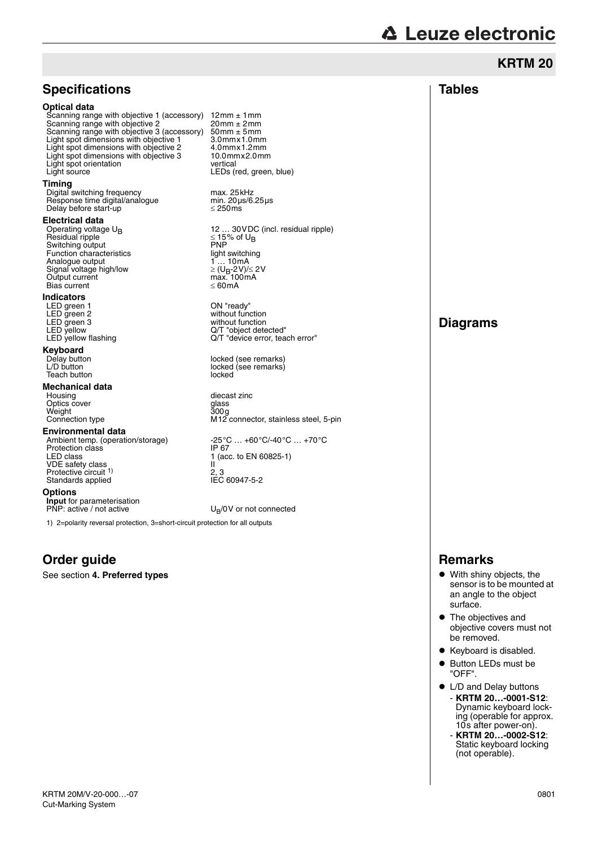# **A Leuze electronic**

|                                                                                                                                                                                                                                                                                                                                                                                                                                                                                                                                                                                                                                                                                                                                                                                                                                                                                                                                                                                                                                                                                                                                                                                                                                                                                                |                                                                                                                                                                                                                                                                                                                                                                                                                                                                                                                                                                                                                                                                                                                                                                                                                | <b>KRTM 20</b>                                                                                                                                                                                                                                                                                                                                                                                                                        |
|------------------------------------------------------------------------------------------------------------------------------------------------------------------------------------------------------------------------------------------------------------------------------------------------------------------------------------------------------------------------------------------------------------------------------------------------------------------------------------------------------------------------------------------------------------------------------------------------------------------------------------------------------------------------------------------------------------------------------------------------------------------------------------------------------------------------------------------------------------------------------------------------------------------------------------------------------------------------------------------------------------------------------------------------------------------------------------------------------------------------------------------------------------------------------------------------------------------------------------------------------------------------------------------------|----------------------------------------------------------------------------------------------------------------------------------------------------------------------------------------------------------------------------------------------------------------------------------------------------------------------------------------------------------------------------------------------------------------------------------------------------------------------------------------------------------------------------------------------------------------------------------------------------------------------------------------------------------------------------------------------------------------------------------------------------------------------------------------------------------------|---------------------------------------------------------------------------------------------------------------------------------------------------------------------------------------------------------------------------------------------------------------------------------------------------------------------------------------------------------------------------------------------------------------------------------------|
| <b>Specifications</b>                                                                                                                                                                                                                                                                                                                                                                                                                                                                                                                                                                                                                                                                                                                                                                                                                                                                                                                                                                                                                                                                                                                                                                                                                                                                          |                                                                                                                                                                                                                                                                                                                                                                                                                                                                                                                                                                                                                                                                                                                                                                                                                | <b>Tables</b>                                                                                                                                                                                                                                                                                                                                                                                                                         |
| <b>Optical data</b><br>Scanning range with objective 1 (accessory) $12 \text{mm} \pm 1 \text{mm}$<br>Scanning range with objective 2<br>Scanning range with objective 3 (accessory) $50 \text{mm} \pm 5 \text{mm}$<br>Light spot dimensions with objective 1<br>Light spot dimensions with objective 2<br>Light spot dimensions with objective 3<br>Light spot orientation<br>Light source<br>Timing<br>Digital switching frequency<br>Response time digital/analogue<br>Delay before start-up<br>Electrical data<br>Operating voltage $U_{\rm B}$<br>Residual ripple<br>Switching output<br>Function characteristics<br>Analogue output<br>Signal voltage high/low<br>Output current<br><b>Bias current</b><br>Indicators<br>LED green 1<br>LED green 2<br>LED green 3<br>LED yellow<br>LED yellow flashing<br>Keyboard<br>Delay button<br>L/D button<br>Teach button<br>Mechanical data<br>Housing<br>Optics cover<br>Weight<br>Connection type<br>Environmental data<br>Ambient temp. (operation/storage)<br>Protection class<br>LED class<br><b>VDE</b> safety class<br>Protective circuit <sup>1)</sup><br>Standards applied<br>Options<br><b>Input</b> for parameterisation<br>PNP: active / not active<br>1) 2=polarity reversal protection, 3=short-circuit protection for all outputs | $20$ mm $\pm$ 2mm<br>3.0mmx1.0mm<br>$4.0$ mm $x1.2$ mm<br>10.0mmx2.0mm<br>vertical<br>LEDs (red, green, blue)<br>max. 25kHz<br>min. $20 \mu s/6.25 \mu s$<br>$\leq$ 250 ms<br>12  30 VDC (incl. residual ripple)<br>$\leq$ 15% of U <sub>R</sub><br><b>PNP</b><br>light switching<br>1  10mA<br>$\geq$ (U <sub>R</sub> -2V)/ $\leq$ 2V<br>max.100mA<br>$\leq 60 \text{mA}$<br>ON "ready"<br>without function<br>without function<br>Q/T "object detected"<br>Q/T "device error, teach error"<br>locked (see remarks)<br>locked (see remarks)<br>locked<br>diecast zinc<br>qlass<br>300 <sub>g</sub><br>M12 connector, stainless steel, 5-pin<br>$-25^{\circ}$ C $+60^{\circ}$ C/-40 $^{\circ}$ C $+70^{\circ}$ C<br>IP 67<br>1 (acc. to EN 60825-1)<br>Ш<br>2, 3<br>IEC 60947-5-2<br>$U_R/OV$ or not connected | <b>Diagrams</b>                                                                                                                                                                                                                                                                                                                                                                                                                       |
| Order guide                                                                                                                                                                                                                                                                                                                                                                                                                                                                                                                                                                                                                                                                                                                                                                                                                                                                                                                                                                                                                                                                                                                                                                                                                                                                                    |                                                                                                                                                                                                                                                                                                                                                                                                                                                                                                                                                                                                                                                                                                                                                                                                                | <b>Remarks</b>                                                                                                                                                                                                                                                                                                                                                                                                                        |
| See section 4. Preferred types                                                                                                                                                                                                                                                                                                                                                                                                                                                                                                                                                                                                                                                                                                                                                                                                                                                                                                                                                                                                                                                                                                                                                                                                                                                                 |                                                                                                                                                                                                                                                                                                                                                                                                                                                                                                                                                                                                                                                                                                                                                                                                                | • With shiny objects, the<br>sensor is to be mounted at<br>an angle to the object<br>surface.<br>• The objectives and<br>objective covers must not<br>be removed.<br>• Keyboard is disabled.<br>• Button LEDs must be<br>"OFF".<br>• L/D and Delay buttons<br>- KRTM 20-0001-S12:<br>Dynamic keyboard lock-<br>ing (operable for approx.<br>10s after power-on).<br>- KRTM 20-0002-S12:<br>Static keyboard locking<br>(not operable). |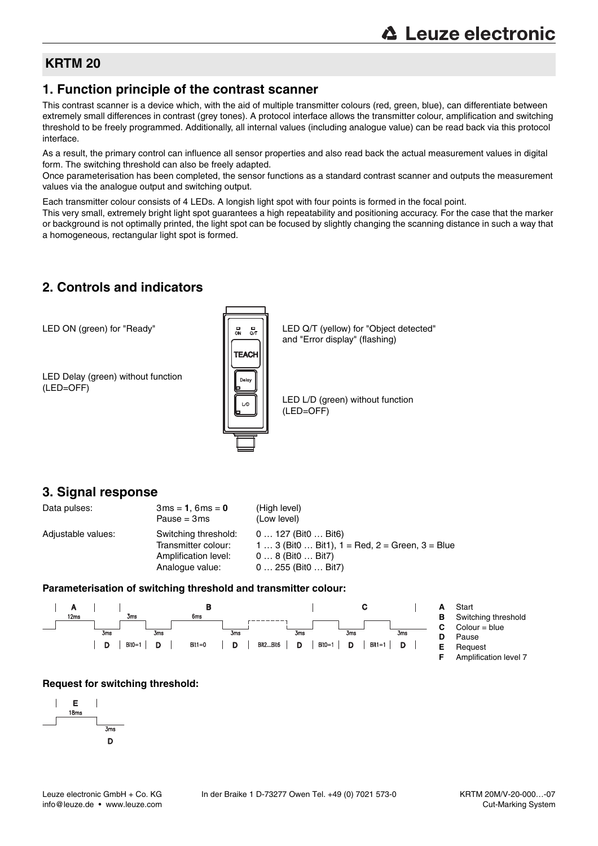### **KRTM 20**

#### **1. Function principle of the contrast scanner**

This contrast scanner is a device which, with the aid of multiple transmitter colours (red, green, blue), can differentiate between extremely small differences in contrast (grey tones). A protocol interface allows the transmitter colour, amplification and switching threshold to be freely programmed. Additionally, all internal values (including analogue value) can be read back via this protocol interface.

As a result, the primary control can influence all sensor properties and also read back the actual measurement values in digital form. The switching threshold can also be freely adapted.

Once parameterisation has been completed, the sensor functions as a standard contrast scanner and outputs the measurement values via the analogue output and switching output.

Each transmitter colour consists of 4 LEDs. A longish light spot with four points is formed in the focal point.

This very small, extremely bright light spot guarantees a high repeatability and positioning accuracy. For the case that the marker or background is not optimally printed, the light spot can be focused by slightly changing the scanning distance in such a way that a homogeneous, rectangular light spot is formed.

### **2. Controls and indicators**

LED ON (green) for "Ready"

LED Delay (green) without function (LED=OFF)



LED Q/T (yellow) for "Object detected" and "Error display" (flashing)

LED L/D (green) without function (LED=OFF)

#### **3. Signal response**

| Data pulses:       | $3ms = 1, 6ms = 0$<br>Pause = $3ms$                                                    | (High level)<br>(Low level)                                                                                                                                       |
|--------------------|----------------------------------------------------------------------------------------|-------------------------------------------------------------------------------------------------------------------------------------------------------------------|
| Adjustable values: | Switching threshold:<br>Transmitter colour:<br>Amplification level:<br>Analogue value: | $0127$ (Bit $0$ Bit $6$ )<br>1  3 (Bit0  Bit1), $1 = \text{Red}$ , $2 = \text{Green}$ , $3 = \text{Blue}$<br>$08$ (Bit $0$ Bit $7$ )<br>$0255$ (Bit $0$ Bit $7$ ) |

#### **Parameterisation of switching threshold and transmitter colour:**



- 
- 
- **F** Amplification level 7

#### **Request for switching threshold:**